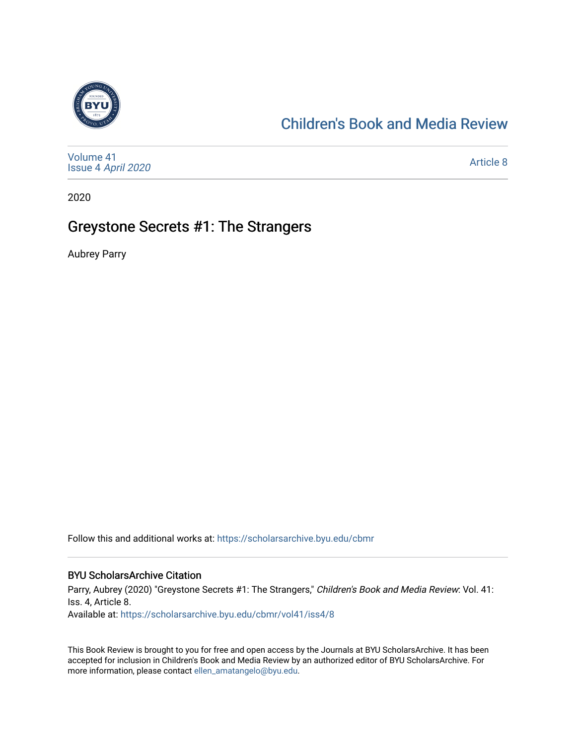

# [Children's Book and Media Review](https://scholarsarchive.byu.edu/cbmr)

| Volume 41<br>Issue 4 April 2020 | Article 8 |
|---------------------------------|-----------|
|---------------------------------|-----------|

2020

# Greystone Secrets #1: The Strangers

Aubrey Parry

Follow this and additional works at: [https://scholarsarchive.byu.edu/cbmr](https://scholarsarchive.byu.edu/cbmr?utm_source=scholarsarchive.byu.edu%2Fcbmr%2Fvol41%2Fiss4%2F8&utm_medium=PDF&utm_campaign=PDFCoverPages) 

#### BYU ScholarsArchive Citation

Parry, Aubrey (2020) "Greystone Secrets #1: The Strangers," Children's Book and Media Review: Vol. 41: Iss. 4, Article 8. Available at: [https://scholarsarchive.byu.edu/cbmr/vol41/iss4/8](https://scholarsarchive.byu.edu/cbmr/vol41/iss4/8?utm_source=scholarsarchive.byu.edu%2Fcbmr%2Fvol41%2Fiss4%2F8&utm_medium=PDF&utm_campaign=PDFCoverPages) 

This Book Review is brought to you for free and open access by the Journals at BYU ScholarsArchive. It has been accepted for inclusion in Children's Book and Media Review by an authorized editor of BYU ScholarsArchive. For more information, please contact [ellen\\_amatangelo@byu.edu.](mailto:ellen_amatangelo@byu.edu)